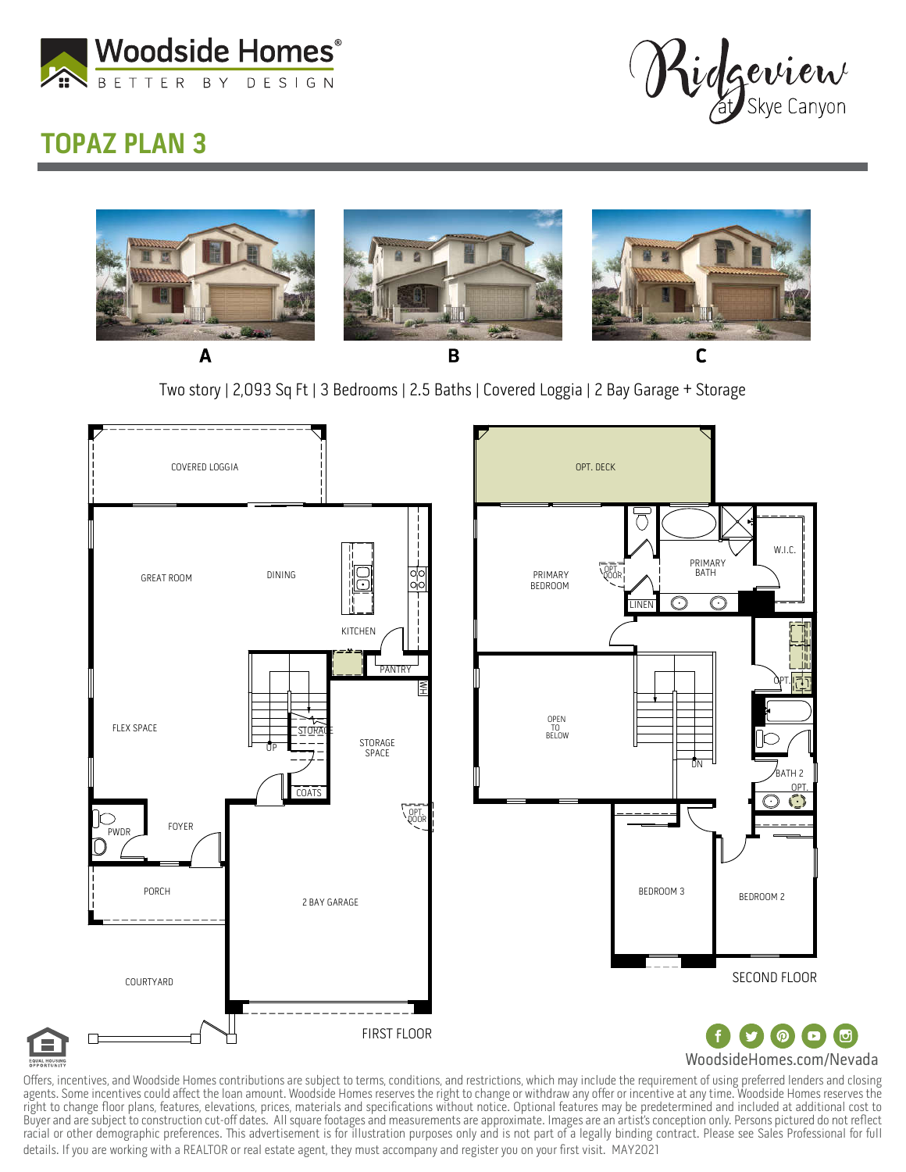

Kidgeview

## TOPAZ PLAN 3



Two story | 2,093 Sq Ft | 3 Bedrooms | 2.5 Baths | Covered Loggia | 2 Bay Garage + Storage



Offers, incentives, and Woodside Homes contributions are subject to terms, conditions, and restrictions, which may include the requirement of using preferred lenders and closing agents. Some incentives could affect the loan amount. Woodside Homes reserves the right to change or withdraw any offer or incentive at any time. Woodside Homes reserves the right to change floor plans, features, elevations, prices, materials and specifications without notice. Optional features may be predetermined and included at additional cost to Buyerandaresubjecttoconstructioncut-offdates.Allsquarefootagesandmeasurementsareapproximate.Imagesareanartist'sconceptiononly.Personspictureddonotreflect racial or other demographic preferences. This advertisement is for illustration purposes only and is not part of a legally binding contract. Please see Sales Professional for full details. If you are working with a REALTOR or real estate agent, they must accompany and register you on your first visit. MAY2021